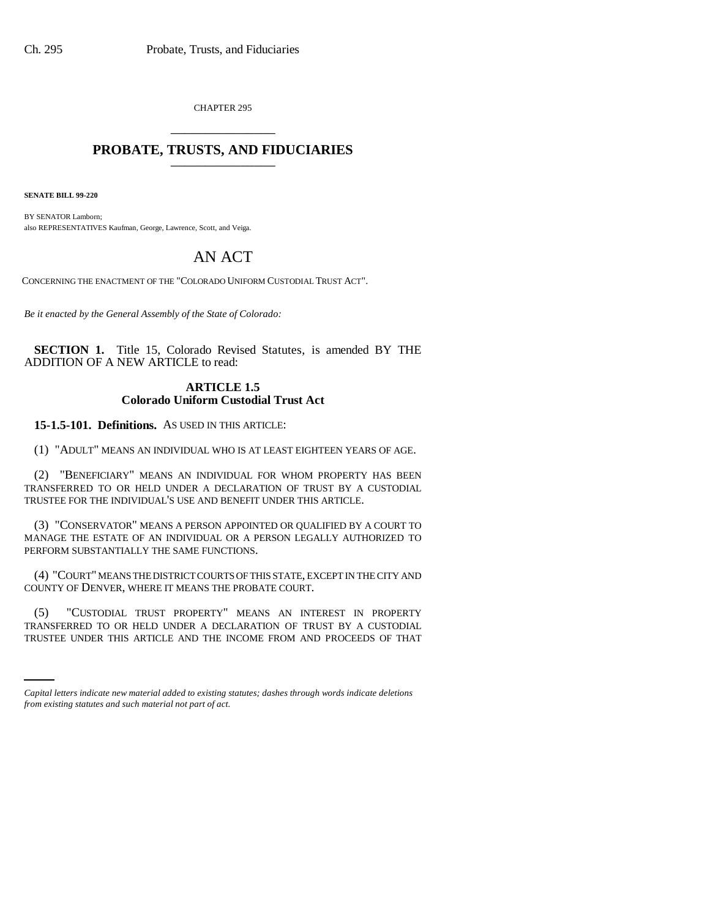CHAPTER 295 \_\_\_\_\_\_\_\_\_\_\_\_\_\_\_

## **PROBATE, TRUSTS, AND FIDUCIARIES** \_\_\_\_\_\_\_\_\_\_\_\_\_\_\_

**SENATE BILL 99-220**

BY SENATOR Lamborn; also REPRESENTATIVES Kaufman, George, Lawrence, Scott, and Veiga.

# AN ACT

CONCERNING THE ENACTMENT OF THE "COLORADO UNIFORM CUSTODIAL TRUST ACT".

*Be it enacted by the General Assembly of the State of Colorado:*

**SECTION 1.** Title 15, Colorado Revised Statutes, is amended BY THE ADDITION OF A NEW ARTICLE to read:

## **ARTICLE 1.5 Colorado Uniform Custodial Trust Act**

**15-1.5-101. Definitions.** AS USED IN THIS ARTICLE:

(1) "ADULT" MEANS AN INDIVIDUAL WHO IS AT LEAST EIGHTEEN YEARS OF AGE.

(2) "BENEFICIARY" MEANS AN INDIVIDUAL FOR WHOM PROPERTY HAS BEEN TRANSFERRED TO OR HELD UNDER A DECLARATION OF TRUST BY A CUSTODIAL TRUSTEE FOR THE INDIVIDUAL'S USE AND BENEFIT UNDER THIS ARTICLE.

(3) "CONSERVATOR" MEANS A PERSON APPOINTED OR QUALIFIED BY A COURT TO MANAGE THE ESTATE OF AN INDIVIDUAL OR A PERSON LEGALLY AUTHORIZED TO PERFORM SUBSTANTIALLY THE SAME FUNCTIONS.

(4) "COURT" MEANS THE DISTRICT COURTS OF THIS STATE, EXCEPT IN THE CITY AND COUNTY OF DENVER, WHERE IT MEANS THE PROBATE COURT.

TRANSFERRED TO OR HELD UNDER A DECLARATION OF TRUST BY A CUSTODIAL (5) "CUSTODIAL TRUST PROPERTY" MEANS AN INTEREST IN PROPERTY TRUSTEE UNDER THIS ARTICLE AND THE INCOME FROM AND PROCEEDS OF THAT

*Capital letters indicate new material added to existing statutes; dashes through words indicate deletions from existing statutes and such material not part of act.*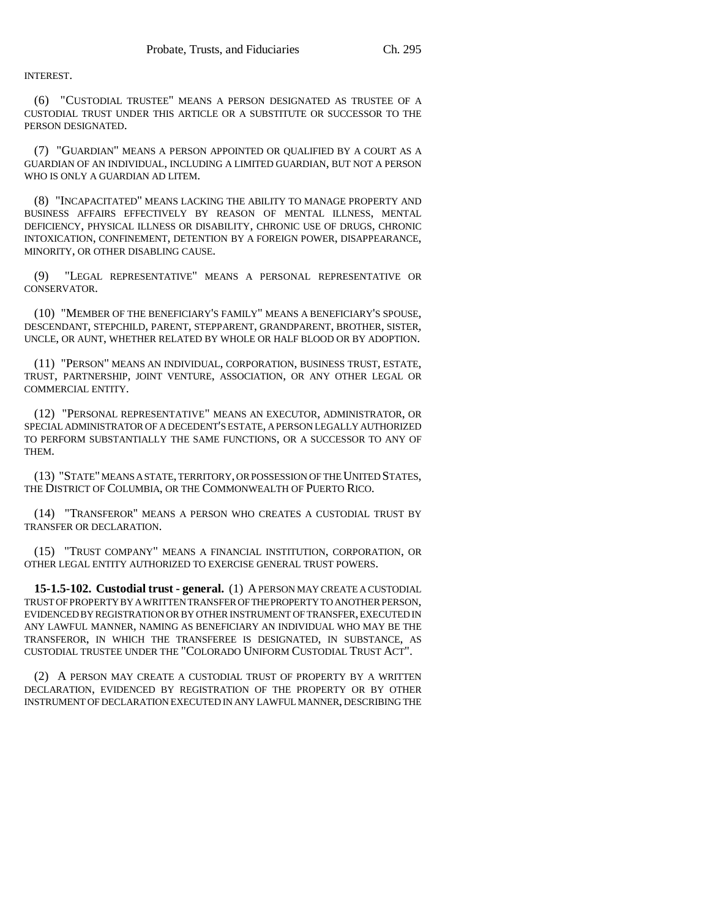INTEREST.

(6) "CUSTODIAL TRUSTEE" MEANS A PERSON DESIGNATED AS TRUSTEE OF A CUSTODIAL TRUST UNDER THIS ARTICLE OR A SUBSTITUTE OR SUCCESSOR TO THE PERSON DESIGNATED.

(7) "GUARDIAN" MEANS A PERSON APPOINTED OR QUALIFIED BY A COURT AS A GUARDIAN OF AN INDIVIDUAL, INCLUDING A LIMITED GUARDIAN, BUT NOT A PERSON WHO IS ONLY A GUARDIAN AD LITEM.

(8) "INCAPACITATED" MEANS LACKING THE ABILITY TO MANAGE PROPERTY AND BUSINESS AFFAIRS EFFECTIVELY BY REASON OF MENTAL ILLNESS, MENTAL DEFICIENCY, PHYSICAL ILLNESS OR DISABILITY, CHRONIC USE OF DRUGS, CHRONIC INTOXICATION, CONFINEMENT, DETENTION BY A FOREIGN POWER, DISAPPEARANCE, MINORITY, OR OTHER DISABLING CAUSE.

(9) "LEGAL REPRESENTATIVE" MEANS A PERSONAL REPRESENTATIVE OR CONSERVATOR.

(10) "MEMBER OF THE BENEFICIARY'S FAMILY" MEANS A BENEFICIARY'S SPOUSE, DESCENDANT, STEPCHILD, PARENT, STEPPARENT, GRANDPARENT, BROTHER, SISTER, UNCLE, OR AUNT, WHETHER RELATED BY WHOLE OR HALF BLOOD OR BY ADOPTION.

(11) "PERSON" MEANS AN INDIVIDUAL, CORPORATION, BUSINESS TRUST, ESTATE, TRUST, PARTNERSHIP, JOINT VENTURE, ASSOCIATION, OR ANY OTHER LEGAL OR COMMERCIAL ENTITY.

(12) "PERSONAL REPRESENTATIVE" MEANS AN EXECUTOR, ADMINISTRATOR, OR SPECIAL ADMINISTRATOR OF A DECEDENT'S ESTATE, A PERSON LEGALLY AUTHORIZED TO PERFORM SUBSTANTIALLY THE SAME FUNCTIONS, OR A SUCCESSOR TO ANY OF THEM.

(13) "STATE" MEANS A STATE, TERRITORY, OR POSSESSION OF THE UNITED STATES, THE DISTRICT OF COLUMBIA, OR THE COMMONWEALTH OF PUERTO RICO.

(14) "TRANSFEROR'' MEANS A PERSON WHO CREATES A CUSTODIAL TRUST BY TRANSFER OR DECLARATION.

(15) "TRUST COMPANY" MEANS A FINANCIAL INSTITUTION, CORPORATION, OR OTHER LEGAL ENTITY AUTHORIZED TO EXERCISE GENERAL TRUST POWERS.

**15-1.5-102. Custodial trust - general.** (1) A PERSON MAY CREATE A CUSTODIAL TRUST OF PROPERTY BY A WRITTEN TRANSFER OF THE PROPERTY TO ANOTHER PERSON, EVIDENCED BY REGISTRATION OR BY OTHER INSTRUMENT OF TRANSFER, EXECUTED IN ANY LAWFUL MANNER, NAMING AS BENEFICIARY AN INDIVIDUAL WHO MAY BE THE TRANSFEROR, IN WHICH THE TRANSFEREE IS DESIGNATED, IN SUBSTANCE, AS CUSTODIAL TRUSTEE UNDER THE "COLORADO UNIFORM CUSTODIAL TRUST ACT".

(2) A PERSON MAY CREATE A CUSTODIAL TRUST OF PROPERTY BY A WRITTEN DECLARATION, EVIDENCED BY REGISTRATION OF THE PROPERTY OR BY OTHER INSTRUMENT OF DECLARATION EXECUTED IN ANY LAWFUL MANNER, DESCRIBING THE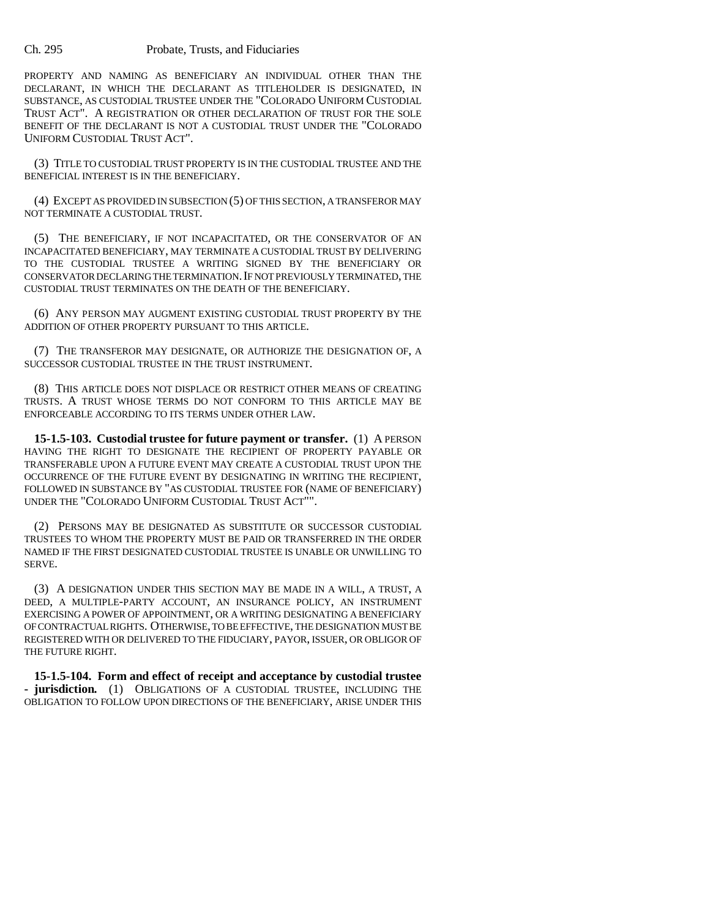PROPERTY AND NAMING AS BENEFICIARY AN INDIVIDUAL OTHER THAN THE DECLARANT, IN WHICH THE DECLARANT AS TITLEHOLDER IS DESIGNATED, IN SUBSTANCE, AS CUSTODIAL TRUSTEE UNDER THE "COLORADO UNIFORM CUSTODIAL TRUST ACT". A REGISTRATION OR OTHER DECLARATION OF TRUST FOR THE SOLE BENEFIT OF THE DECLARANT IS NOT A CUSTODIAL TRUST UNDER THE "COLORADO UNIFORM CUSTODIAL TRUST ACT".

(3) TITLE TO CUSTODIAL TRUST PROPERTY IS IN THE CUSTODIAL TRUSTEE AND THE BENEFICIAL INTEREST IS IN THE BENEFICIARY.

(4) EXCEPT AS PROVIDED IN SUBSECTION (5) OF THIS SECTION, A TRANSFEROR MAY NOT TERMINATE A CUSTODIAL TRUST.

(5) THE BENEFICIARY, IF NOT INCAPACITATED, OR THE CONSERVATOR OF AN INCAPACITATED BENEFICIARY, MAY TERMINATE A CUSTODIAL TRUST BY DELIVERING TO THE CUSTODIAL TRUSTEE A WRITING SIGNED BY THE BENEFICIARY OR CONSERVATOR DECLARING THE TERMINATION.IF NOT PREVIOUSLY TERMINATED, THE CUSTODIAL TRUST TERMINATES ON THE DEATH OF THE BENEFICIARY.

(6) ANY PERSON MAY AUGMENT EXISTING CUSTODIAL TRUST PROPERTY BY THE ADDITION OF OTHER PROPERTY PURSUANT TO THIS ARTICLE.

(7) THE TRANSFEROR MAY DESIGNATE, OR AUTHORIZE THE DESIGNATION OF, A SUCCESSOR CUSTODIAL TRUSTEE IN THE TRUST INSTRUMENT.

(8) THIS ARTICLE DOES NOT DISPLACE OR RESTRICT OTHER MEANS OF CREATING TRUSTS. A TRUST WHOSE TERMS DO NOT CONFORM TO THIS ARTICLE MAY BE ENFORCEABLE ACCORDING TO ITS TERMS UNDER OTHER LAW.

**15-1.5-103. Custodial trustee for future payment or transfer.** (1) A PERSON HAVING THE RIGHT TO DESIGNATE THE RECIPIENT OF PROPERTY PAYABLE OR TRANSFERABLE UPON A FUTURE EVENT MAY CREATE A CUSTODIAL TRUST UPON THE OCCURRENCE OF THE FUTURE EVENT BY DESIGNATING IN WRITING THE RECIPIENT, FOLLOWED IN SUBSTANCE BY "AS CUSTODIAL TRUSTEE FOR (NAME OF BENEFICIARY) UNDER THE "COLORADO UNIFORM CUSTODIAL TRUST ACT"".

(2) PERSONS MAY BE DESIGNATED AS SUBSTITUTE OR SUCCESSOR CUSTODIAL TRUSTEES TO WHOM THE PROPERTY MUST BE PAID OR TRANSFERRED IN THE ORDER NAMED IF THE FIRST DESIGNATED CUSTODIAL TRUSTEE IS UNABLE OR UNWILLING TO SERVE.

(3) A DESIGNATION UNDER THIS SECTION MAY BE MADE IN A WILL, A TRUST, A DEED, A MULTIPLE-PARTY ACCOUNT, AN INSURANCE POLICY, AN INSTRUMENT EXERCISING A POWER OF APPOINTMENT, OR A WRITING DESIGNATING A BENEFICIARY OF CONTRACTUAL RIGHTS. OTHERWISE, TO BE EFFECTIVE, THE DESIGNATION MUST BE REGISTERED WITH OR DELIVERED TO THE FIDUCIARY, PAYOR, ISSUER, OR OBLIGOR OF THE FUTURE RIGHT.

**15-1.5-104. Form and effect of receipt and acceptance by custodial trustee - jurisdiction.** (1) OBLIGATIONS OF A CUSTODIAL TRUSTEE, INCLUDING THE OBLIGATION TO FOLLOW UPON DIRECTIONS OF THE BENEFICIARY, ARISE UNDER THIS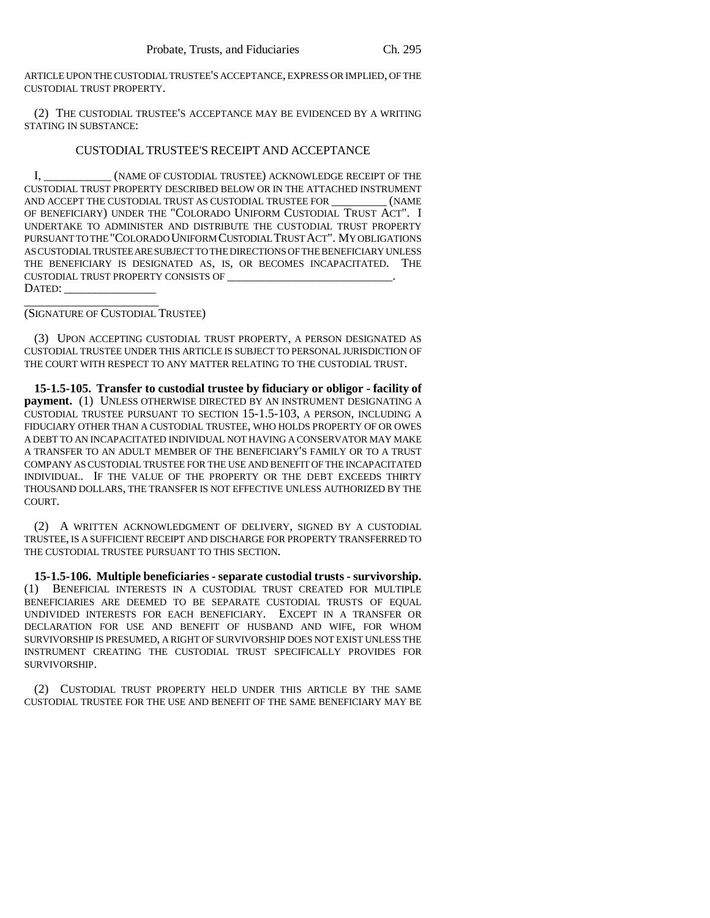ARTICLE UPON THE CUSTODIAL TRUSTEE'S ACCEPTANCE, EXPRESS OR IMPLIED, OF THE CUSTODIAL TRUST PROPERTY.

(2) THE CUSTODIAL TRUSTEE'S ACCEPTANCE MAY BE EVIDENCED BY A WRITING STATING IN SUBSTANCE:

### CUSTODIAL TRUSTEE'S RECEIPT AND ACCEPTANCE

I, \_\_\_\_\_\_\_\_\_\_\_ (NAME OF CUSTODIAL TRUSTEE) ACKNOWLEDGE RECEIPT OF THE CUSTODIAL TRUST PROPERTY DESCRIBED BELOW OR IN THE ATTACHED INSTRUMENT<br>AND ACCEPT THE CUSTODIAL TRUST AS CUSTODIAL TRUSTEE FOR (NAME AND ACCEPT THE CUSTODIAL TRUST AS CUSTODIAL TRUSTEE FOR OF BENEFICIARY) UNDER THE "COLORADO UNIFORM CUSTODIAL TRUST ACT". I UNDERTAKE TO ADMINISTER AND DISTRIBUTE THE CUSTODIAL TRUST PROPERTY PURSUANT TO THE "COLORADO UNIFORM CUSTODIAL TRUST ACT". MY OBLIGATIONS AS CUSTODIAL TRUSTEE ARE SUBJECT TO THE DIRECTIONS OF THE BENEFICIARY UNLESS THE BENEFICIARY IS DESIGNATED AS, IS, OR BECOMES INCAPACITATED. THE CUSTODIAL TRUST PROPERTY CONSISTS OF DATED:

\_\_\_\_\_\_\_\_\_\_\_\_\_\_\_\_\_\_\_\_\_\_ (SIGNATURE OF CUSTODIAL TRUSTEE)

(3) UPON ACCEPTING CUSTODIAL TRUST PROPERTY, A PERSON DESIGNATED AS CUSTODIAL TRUSTEE UNDER THIS ARTICLE IS SUBJECT TO PERSONAL JURISDICTION OF THE COURT WITH RESPECT TO ANY MATTER RELATING TO THE CUSTODIAL TRUST.

**15-1.5-105. Transfer to custodial trustee by fiduciary or obligor - facility of payment.** (1) UNLESS OTHERWISE DIRECTED BY AN INSTRUMENT DESIGNATING A CUSTODIAL TRUSTEE PURSUANT TO SECTION 15-1.5-103, A PERSON, INCLUDING A FIDUCIARY OTHER THAN A CUSTODIAL TRUSTEE, WHO HOLDS PROPERTY OF OR OWES A DEBT TO AN INCAPACITATED INDIVIDUAL NOT HAVING A CONSERVATOR MAY MAKE A TRANSFER TO AN ADULT MEMBER OF THE BENEFICIARY'S FAMILY OR TO A TRUST COMPANY AS CUSTODIAL TRUSTEE FOR THE USE AND BENEFIT OF THE INCAPACITATED INDIVIDUAL. IF THE VALUE OF THE PROPERTY OR THE DEBT EXCEEDS THIRTY THOUSAND DOLLARS, THE TRANSFER IS NOT EFFECTIVE UNLESS AUTHORIZED BY THE COURT.

(2) A WRITTEN ACKNOWLEDGMENT OF DELIVERY, SIGNED BY A CUSTODIAL TRUSTEE, IS A SUFFICIENT RECEIPT AND DISCHARGE FOR PROPERTY TRANSFERRED TO THE CUSTODIAL TRUSTEE PURSUANT TO THIS SECTION.

**15-1.5-106. Multiple beneficiaries - separate custodial trusts - survivorship.** (1) BENEFICIAL INTERESTS IN A CUSTODIAL TRUST CREATED FOR MULTIPLE BENEFICIARIES ARE DEEMED TO BE SEPARATE CUSTODIAL TRUSTS OF EQUAL UNDIVIDED INTERESTS FOR EACH BENEFICIARY. EXCEPT IN A TRANSFER OR DECLARATION FOR USE AND BENEFIT OF HUSBAND AND WIFE, FOR WHOM SURVIVORSHIP IS PRESUMED, A RIGHT OF SURVIVORSHIP DOES NOT EXIST UNLESS THE INSTRUMENT CREATING THE CUSTODIAL TRUST SPECIFICALLY PROVIDES FOR SURVIVORSHIP.

(2) CUSTODIAL TRUST PROPERTY HELD UNDER THIS ARTICLE BY THE SAME CUSTODIAL TRUSTEE FOR THE USE AND BENEFIT OF THE SAME BENEFICIARY MAY BE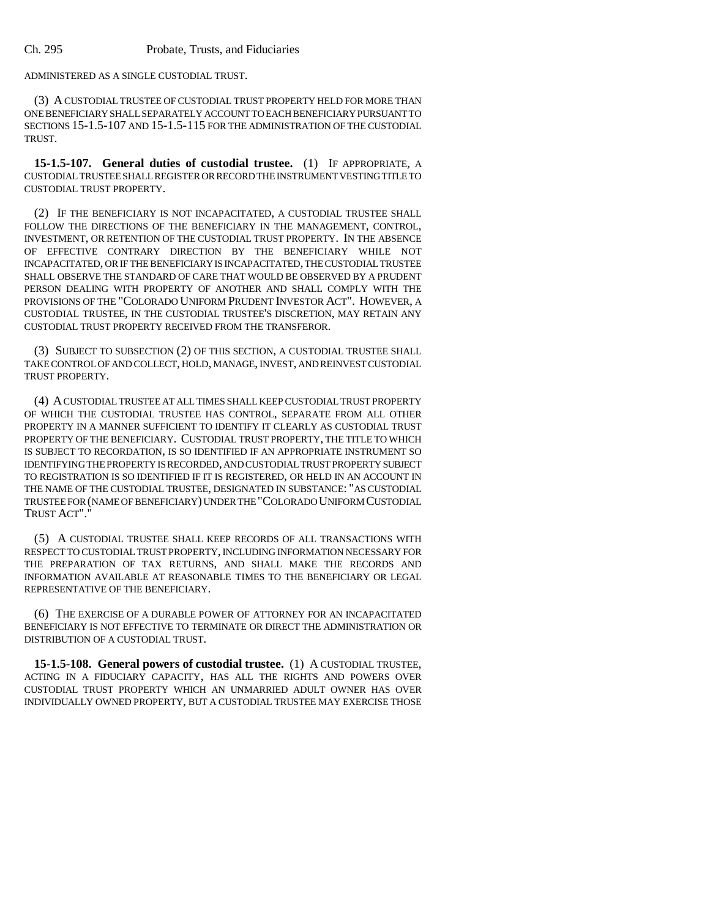ADMINISTERED AS A SINGLE CUSTODIAL TRUST.

(3) A CUSTODIAL TRUSTEE OF CUSTODIAL TRUST PROPERTY HELD FOR MORE THAN ONE BENEFICIARY SHALL SEPARATELY ACCOUNT TO EACH BENEFICIARY PURSUANT TO SECTIONS 15-1.5-107 AND 15-1.5-115 FOR THE ADMINISTRATION OF THE CUSTODIAL TRUST.

**15-1.5-107. General duties of custodial trustee.** (1) IF APPROPRIATE, A CUSTODIAL TRUSTEE SHALL REGISTER OR RECORD THE INSTRUMENT VESTING TITLE TO CUSTODIAL TRUST PROPERTY.

(2) IF THE BENEFICIARY IS NOT INCAPACITATED, A CUSTODIAL TRUSTEE SHALL FOLLOW THE DIRECTIONS OF THE BENEFICIARY IN THE MANAGEMENT, CONTROL, INVESTMENT, OR RETENTION OF THE CUSTODIAL TRUST PROPERTY. IN THE ABSENCE OF EFFECTIVE CONTRARY DIRECTION BY THE BENEFICIARY WHILE NOT INCAPACITATED, OR IF THE BENEFICIARY IS INCAPACITATED, THE CUSTODIAL TRUSTEE SHALL OBSERVE THE STANDARD OF CARE THAT WOULD BE OBSERVED BY A PRUDENT PERSON DEALING WITH PROPERTY OF ANOTHER AND SHALL COMPLY WITH THE PROVISIONS OF THE "COLORADO UNIFORM PRUDENT INVESTOR ACT". HOWEVER, A CUSTODIAL TRUSTEE, IN THE CUSTODIAL TRUSTEE'S DISCRETION, MAY RETAIN ANY CUSTODIAL TRUST PROPERTY RECEIVED FROM THE TRANSFEROR.

(3) SUBJECT TO SUBSECTION (2) OF THIS SECTION, A CUSTODIAL TRUSTEE SHALL TAKE CONTROL OF AND COLLECT, HOLD, MANAGE, INVEST, AND REINVEST CUSTODIAL TRUST PROPERTY.

(4) A CUSTODIAL TRUSTEE AT ALL TIMES SHALL KEEP CUSTODIAL TRUST PROPERTY OF WHICH THE CUSTODIAL TRUSTEE HAS CONTROL, SEPARATE FROM ALL OTHER PROPERTY IN A MANNER SUFFICIENT TO IDENTIFY IT CLEARLY AS CUSTODIAL TRUST PROPERTY OF THE BENEFICIARY. CUSTODIAL TRUST PROPERTY, THE TITLE TO WHICH IS SUBJECT TO RECORDATION, IS SO IDENTIFIED IF AN APPROPRIATE INSTRUMENT SO IDENTIFYING THE PROPERTY IS RECORDED, AND CUSTODIAL TRUST PROPERTY SUBJECT TO REGISTRATION IS SO IDENTIFIED IF IT IS REGISTERED, OR HELD IN AN ACCOUNT IN THE NAME OF THE CUSTODIAL TRUSTEE, DESIGNATED IN SUBSTANCE: "AS CUSTODIAL TRUSTEE FOR (NAME OF BENEFICIARY) UNDER THE "COLORADO UNIFORM CUSTODIAL TRUST ACT"."

(5) A CUSTODIAL TRUSTEE SHALL KEEP RECORDS OF ALL TRANSACTIONS WITH RESPECT TO CUSTODIAL TRUST PROPERTY, INCLUDING INFORMATION NECESSARY FOR THE PREPARATION OF TAX RETURNS, AND SHALL MAKE THE RECORDS AND INFORMATION AVAILABLE AT REASONABLE TIMES TO THE BENEFICIARY OR LEGAL REPRESENTATIVE OF THE BENEFICIARY.

(6) THE EXERCISE OF A DURABLE POWER OF ATTORNEY FOR AN INCAPACITATED BENEFICIARY IS NOT EFFECTIVE TO TERMINATE OR DIRECT THE ADMINISTRATION OR DISTRIBUTION OF A CUSTODIAL TRUST.

**15-1.5-108. General powers of custodial trustee.** (1) A CUSTODIAL TRUSTEE, ACTING IN A FIDUCIARY CAPACITY, HAS ALL THE RIGHTS AND POWERS OVER CUSTODIAL TRUST PROPERTY WHICH AN UNMARRIED ADULT OWNER HAS OVER INDIVIDUALLY OWNED PROPERTY, BUT A CUSTODIAL TRUSTEE MAY EXERCISE THOSE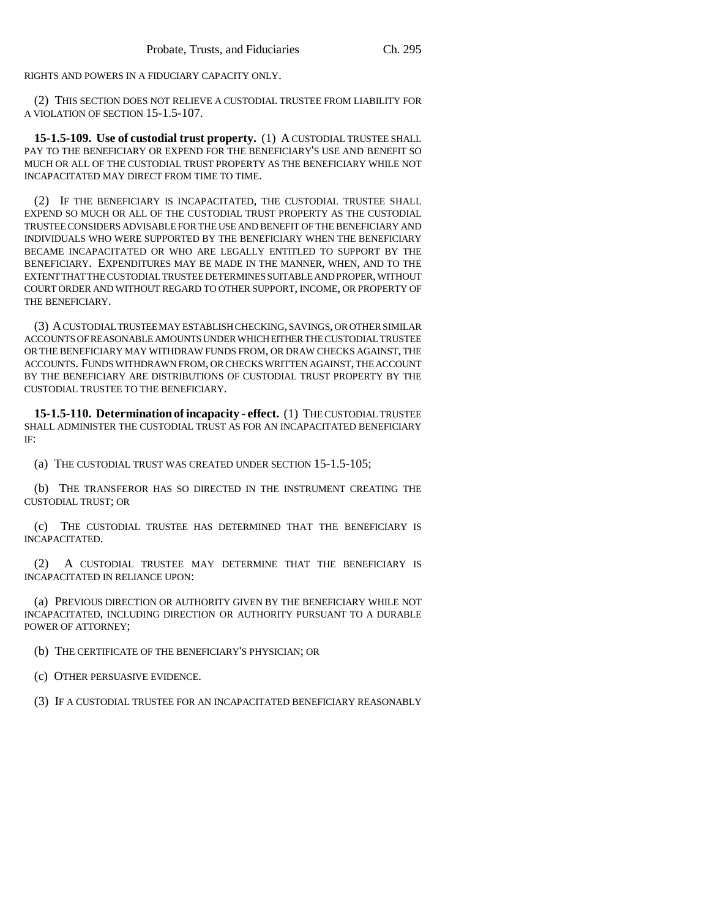RIGHTS AND POWERS IN A FIDUCIARY CAPACITY ONLY.

(2) THIS SECTION DOES NOT RELIEVE A CUSTODIAL TRUSTEE FROM LIABILITY FOR A VIOLATION OF SECTION 15-1.5-107.

**15-1.5-109. Use of custodial trust property.** (1) A CUSTODIAL TRUSTEE SHALL PAY TO THE BENEFICIARY OR EXPEND FOR THE BENEFICIARY'S USE AND BENEFIT SO MUCH OR ALL OF THE CUSTODIAL TRUST PROPERTY AS THE BENEFICIARY WHILE NOT INCAPACITATED MAY DIRECT FROM TIME TO TIME.

(2) IF THE BENEFICIARY IS INCAPACITATED, THE CUSTODIAL TRUSTEE SHALL EXPEND SO MUCH OR ALL OF THE CUSTODIAL TRUST PROPERTY AS THE CUSTODIAL TRUSTEE CONSIDERS ADVISABLE FOR THE USE AND BENEFIT OF THE BENEFICIARY AND INDIVIDUALS WHO WERE SUPPORTED BY THE BENEFICIARY WHEN THE BENEFICIARY BECAME INCAPACITATED OR WHO ARE LEGALLY ENTITLED TO SUPPORT BY THE BENEFICIARY. EXPENDITURES MAY BE MADE IN THE MANNER, WHEN, AND TO THE EXTENT THAT THE CUSTODIAL TRUSTEE DETERMINES SUITABLE AND PROPER, WITHOUT COURT ORDER AND WITHOUT REGARD TO OTHER SUPPORT, INCOME, OR PROPERTY OF THE BENEFICIARY.

(3) A CUSTODIAL TRUSTEE MAY ESTABLISH CHECKING, SAVINGS, OR OTHER SIMILAR ACCOUNTS OF REASONABLE AMOUNTS UNDER WHICH EITHER THE CUSTODIAL TRUSTEE OR THE BENEFICIARY MAY WITHDRAW FUNDS FROM, OR DRAW CHECKS AGAINST, THE ACCOUNTS. FUNDS WITHDRAWN FROM, OR CHECKS WRITTEN AGAINST, THE ACCOUNT BY THE BENEFICIARY ARE DISTRIBUTIONS OF CUSTODIAL TRUST PROPERTY BY THE CUSTODIAL TRUSTEE TO THE BENEFICIARY.

**15-1.5-110. Determination of incapacity - effect.** (1) THE CUSTODIAL TRUSTEE SHALL ADMINISTER THE CUSTODIAL TRUST AS FOR AN INCAPACITATED BENEFICIARY IF:

(a) THE CUSTODIAL TRUST WAS CREATED UNDER SECTION 15-1.5-105;

(b) THE TRANSFEROR HAS SO DIRECTED IN THE INSTRUMENT CREATING THE CUSTODIAL TRUST; OR

(c) THE CUSTODIAL TRUSTEE HAS DETERMINED THAT THE BENEFICIARY IS INCAPACITATED.

(2) A CUSTODIAL TRUSTEE MAY DETERMINE THAT THE BENEFICIARY IS INCAPACITATED IN RELIANCE UPON:

(a) PREVIOUS DIRECTION OR AUTHORITY GIVEN BY THE BENEFICIARY WHILE NOT INCAPACITATED, INCLUDING DIRECTION OR AUTHORITY PURSUANT TO A DURABLE POWER OF ATTORNEY;

(b) THE CERTIFICATE OF THE BENEFICIARY'S PHYSICIAN; OR

(c) OTHER PERSUASIVE EVIDENCE.

(3) IF A CUSTODIAL TRUSTEE FOR AN INCAPACITATED BENEFICIARY REASONABLY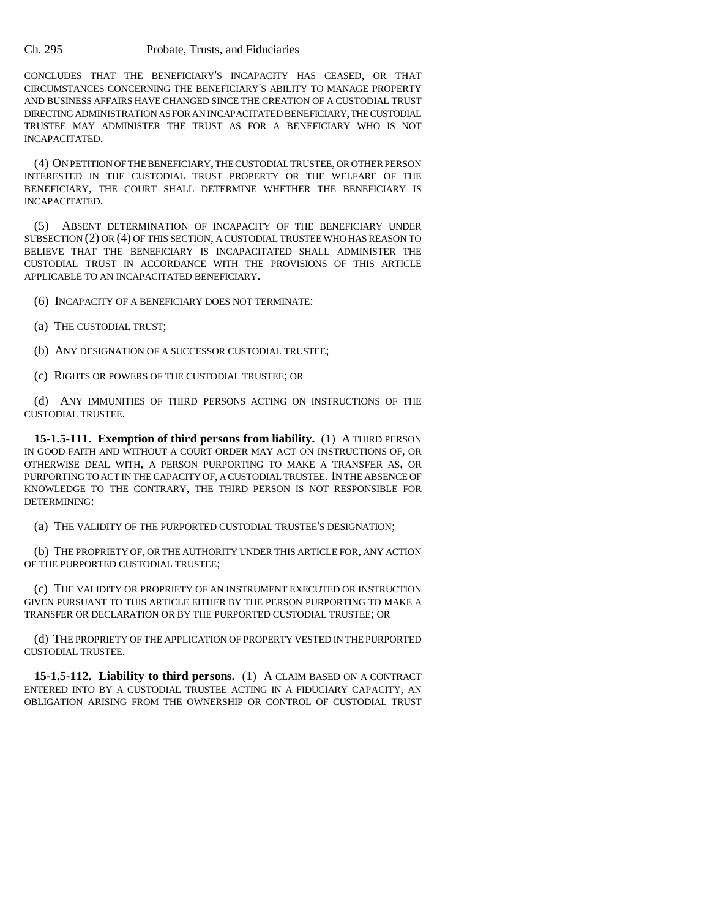CONCLUDES THAT THE BENEFICIARY'S INCAPACITY HAS CEASED, OR THAT CIRCUMSTANCES CONCERNING THE BENEFICIARY'S ABILITY TO MANAGE PROPERTY AND BUSINESS AFFAIRS HAVE CHANGED SINCE THE CREATION OF A CUSTODIAL TRUST DIRECTING ADMINISTRATION AS FOR AN INCAPACITATED BENEFICIARY, THE CUSTODIAL TRUSTEE MAY ADMINISTER THE TRUST AS FOR A BENEFICIARY WHO IS NOT INCAPACITATED.

(4) ON PETITION OF THE BENEFICIARY, THE CUSTODIAL TRUSTEE, OR OTHER PERSON INTERESTED IN THE CUSTODIAL TRUST PROPERTY OR THE WELFARE OF THE BENEFICIARY, THE COURT SHALL DETERMINE WHETHER THE BENEFICIARY IS INCAPACITATED.

(5) ABSENT DETERMINATION OF INCAPACITY OF THE BENEFICIARY UNDER SUBSECTION (2) OR (4) OF THIS SECTION, A CUSTODIAL TRUSTEE WHO HAS REASON TO BELIEVE THAT THE BENEFICIARY IS INCAPACITATED SHALL ADMINISTER THE CUSTODIAL TRUST IN ACCORDANCE WITH THE PROVISIONS OF THIS ARTICLE APPLICABLE TO AN INCAPACITATED BENEFICIARY.

(6) INCAPACITY OF A BENEFICIARY DOES NOT TERMINATE:

- (a) THE CUSTODIAL TRUST;
- (b) ANY DESIGNATION OF A SUCCESSOR CUSTODIAL TRUSTEE;

(c) RIGHTS OR POWERS OF THE CUSTODIAL TRUSTEE; OR

(d) ANY IMMUNITIES OF THIRD PERSONS ACTING ON INSTRUCTIONS OF THE CUSTODIAL TRUSTEE.

**15-1.5-111. Exemption of third persons from liability.** (1) A THIRD PERSON IN GOOD FAITH AND WITHOUT A COURT ORDER MAY ACT ON INSTRUCTIONS OF, OR OTHERWISE DEAL WITH, A PERSON PURPORTING TO MAKE A TRANSFER AS, OR PURPORTING TO ACT IN THE CAPACITY OF, A CUSTODIAL TRUSTEE. IN THE ABSENCE OF KNOWLEDGE TO THE CONTRARY, THE THIRD PERSON IS NOT RESPONSIBLE FOR DETERMINING:

(a) THE VALIDITY OF THE PURPORTED CUSTODIAL TRUSTEE'S DESIGNATION;

(b) THE PROPRIETY OF, OR THE AUTHORITY UNDER THIS ARTICLE FOR, ANY ACTION OF THE PURPORTED CUSTODIAL TRUSTEE;

(c) THE VALIDITY OR PROPRIETY OF AN INSTRUMENT EXECUTED OR INSTRUCTION GIVEN PURSUANT TO THIS ARTICLE EITHER BY THE PERSON PURPORTING TO MAKE A TRANSFER OR DECLARATION OR BY THE PURPORTED CUSTODIAL TRUSTEE; OR

(d) THE PROPRIETY OF THE APPLICATION OF PROPERTY VESTED IN THE PURPORTED CUSTODIAL TRUSTEE.

**15-1.5-112. Liability to third persons.** (1) A CLAIM BASED ON A CONTRACT ENTERED INTO BY A CUSTODIAL TRUSTEE ACTING IN A FIDUCIARY CAPACITY, AN OBLIGATION ARISING FROM THE OWNERSHIP OR CONTROL OF CUSTODIAL TRUST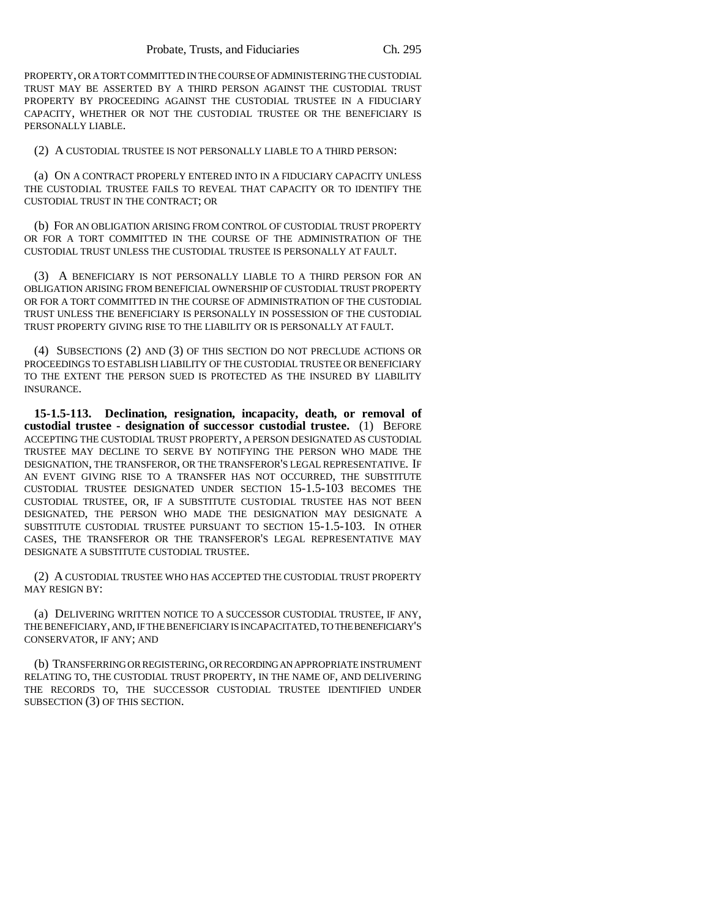PROPERTY, OR A TORT COMMITTED IN THE COURSE OF ADMINISTERING THE CUSTODIAL TRUST MAY BE ASSERTED BY A THIRD PERSON AGAINST THE CUSTODIAL TRUST PROPERTY BY PROCEEDING AGAINST THE CUSTODIAL TRUSTEE IN A FIDUCIARY CAPACITY, WHETHER OR NOT THE CUSTODIAL TRUSTEE OR THE BENEFICIARY IS PERSONALLY LIABLE.

(2) A CUSTODIAL TRUSTEE IS NOT PERSONALLY LIABLE TO A THIRD PERSON:

(a) ON A CONTRACT PROPERLY ENTERED INTO IN A FIDUCIARY CAPACITY UNLESS THE CUSTODIAL TRUSTEE FAILS TO REVEAL THAT CAPACITY OR TO IDENTIFY THE CUSTODIAL TRUST IN THE CONTRACT; OR

(b) FOR AN OBLIGATION ARISING FROM CONTROL OF CUSTODIAL TRUST PROPERTY OR FOR A TORT COMMITTED IN THE COURSE OF THE ADMINISTRATION OF THE CUSTODIAL TRUST UNLESS THE CUSTODIAL TRUSTEE IS PERSONALLY AT FAULT.

(3) A BENEFICIARY IS NOT PERSONALLY LIABLE TO A THIRD PERSON FOR AN OBLIGATION ARISING FROM BENEFICIAL OWNERSHIP OF CUSTODIAL TRUST PROPERTY OR FOR A TORT COMMITTED IN THE COURSE OF ADMINISTRATION OF THE CUSTODIAL TRUST UNLESS THE BENEFICIARY IS PERSONALLY IN POSSESSION OF THE CUSTODIAL TRUST PROPERTY GIVING RISE TO THE LIABILITY OR IS PERSONALLY AT FAULT.

(4) SUBSECTIONS (2) AND (3) OF THIS SECTION DO NOT PRECLUDE ACTIONS OR PROCEEDINGS TO ESTABLISH LIABILITY OF THE CUSTODIAL TRUSTEE OR BENEFICIARY TO THE EXTENT THE PERSON SUED IS PROTECTED AS THE INSURED BY LIABILITY INSURANCE.

**15-1.5-113. Declination, resignation, incapacity, death, or removal of custodial trustee - designation of successor custodial trustee.** (1) BEFORE ACCEPTING THE CUSTODIAL TRUST PROPERTY, A PERSON DESIGNATED AS CUSTODIAL TRUSTEE MAY DECLINE TO SERVE BY NOTIFYING THE PERSON WHO MADE THE DESIGNATION, THE TRANSFEROR, OR THE TRANSFEROR'S LEGAL REPRESENTATIVE. IF AN EVENT GIVING RISE TO A TRANSFER HAS NOT OCCURRED, THE SUBSTITUTE CUSTODIAL TRUSTEE DESIGNATED UNDER SECTION 15-1.5-103 BECOMES THE CUSTODIAL TRUSTEE, OR, IF A SUBSTITUTE CUSTODIAL TRUSTEE HAS NOT BEEN DESIGNATED, THE PERSON WHO MADE THE DESIGNATION MAY DESIGNATE A SUBSTITUTE CUSTODIAL TRUSTEE PURSUANT TO SECTION 15-1.5-103. IN OTHER CASES, THE TRANSFEROR OR THE TRANSFEROR'S LEGAL REPRESENTATIVE MAY DESIGNATE A SUBSTITUTE CUSTODIAL TRUSTEE.

(2) A CUSTODIAL TRUSTEE WHO HAS ACCEPTED THE CUSTODIAL TRUST PROPERTY MAY RESIGN BY:

(a) DELIVERING WRITTEN NOTICE TO A SUCCESSOR CUSTODIAL TRUSTEE, IF ANY, THE BENEFICIARY, AND, IF THE BENEFICIARY IS INCAPACITATED, TO THE BENEFICIARY'S CONSERVATOR, IF ANY; AND

(b) TRANSFERRING OR REGISTERING, OR RECORDING AN APPROPRIATE INSTRUMENT RELATING TO, THE CUSTODIAL TRUST PROPERTY, IN THE NAME OF, AND DELIVERING THE RECORDS TO, THE SUCCESSOR CUSTODIAL TRUSTEE IDENTIFIED UNDER SUBSECTION (3) OF THIS SECTION.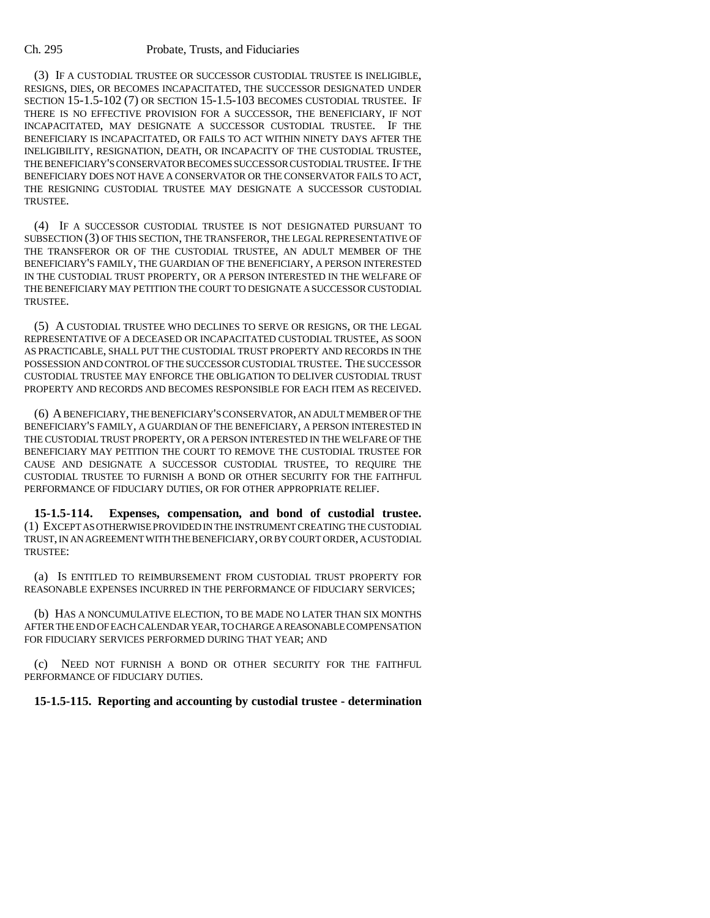(3) IF A CUSTODIAL TRUSTEE OR SUCCESSOR CUSTODIAL TRUSTEE IS INELIGIBLE, RESIGNS, DIES, OR BECOMES INCAPACITATED, THE SUCCESSOR DESIGNATED UNDER SECTION 15-1.5-102 (7) OR SECTION 15-1.5-103 BECOMES CUSTODIAL TRUSTEE. IF THERE IS NO EFFECTIVE PROVISION FOR A SUCCESSOR, THE BENEFICIARY, IF NOT INCAPACITATED, MAY DESIGNATE A SUCCESSOR CUSTODIAL TRUSTEE. IF THE BENEFICIARY IS INCAPACITATED, OR FAILS TO ACT WITHIN NINETY DAYS AFTER THE INELIGIBILITY, RESIGNATION, DEATH, OR INCAPACITY OF THE CUSTODIAL TRUSTEE, THE BENEFICIARY'S CONSERVATOR BECOMES SUCCESSOR CUSTODIAL TRUSTEE. IF THE BENEFICIARY DOES NOT HAVE A CONSERVATOR OR THE CONSERVATOR FAILS TO ACT, THE RESIGNING CUSTODIAL TRUSTEE MAY DESIGNATE A SUCCESSOR CUSTODIAL TRUSTEE.

(4) IF A SUCCESSOR CUSTODIAL TRUSTEE IS NOT DESIGNATED PURSUANT TO SUBSECTION (3) OF THIS SECTION, THE TRANSFEROR, THE LEGAL REPRESENTATIVE OF THE TRANSFEROR OR OF THE CUSTODIAL TRUSTEE, AN ADULT MEMBER OF THE BENEFICIARY'S FAMILY, THE GUARDIAN OF THE BENEFICIARY, A PERSON INTERESTED IN THE CUSTODIAL TRUST PROPERTY, OR A PERSON INTERESTED IN THE WELFARE OF THE BENEFICIARY MAY PETITION THE COURT TO DESIGNATE A SUCCESSOR CUSTODIAL TRUSTEE.

(5) A CUSTODIAL TRUSTEE WHO DECLINES TO SERVE OR RESIGNS, OR THE LEGAL REPRESENTATIVE OF A DECEASED OR INCAPACITATED CUSTODIAL TRUSTEE, AS SOON AS PRACTICABLE, SHALL PUT THE CUSTODIAL TRUST PROPERTY AND RECORDS IN THE POSSESSION AND CONTROL OF THE SUCCESSOR CUSTODIAL TRUSTEE. THE SUCCESSOR CUSTODIAL TRUSTEE MAY ENFORCE THE OBLIGATION TO DELIVER CUSTODIAL TRUST PROPERTY AND RECORDS AND BECOMES RESPONSIBLE FOR EACH ITEM AS RECEIVED.

(6) A BENEFICIARY, THE BENEFICIARY'S CONSERVATOR, AN ADULT MEMBER OF THE BENEFICIARY'S FAMILY, A GUARDIAN OF THE BENEFICIARY, A PERSON INTERESTED IN THE CUSTODIAL TRUST PROPERTY, OR A PERSON INTERESTED IN THE WELFARE OF THE BENEFICIARY MAY PETITION THE COURT TO REMOVE THE CUSTODIAL TRUSTEE FOR CAUSE AND DESIGNATE A SUCCESSOR CUSTODIAL TRUSTEE, TO REQUIRE THE CUSTODIAL TRUSTEE TO FURNISH A BOND OR OTHER SECURITY FOR THE FAITHFUL PERFORMANCE OF FIDUCIARY DUTIES, OR FOR OTHER APPROPRIATE RELIEF.

**15-1.5-114. Expenses, compensation, and bond of custodial trustee.** (1) EXCEPT AS OTHERWISE PROVIDED IN THE INSTRUMENT CREATING THE CUSTODIAL TRUST, IN AN AGREEMENT WITH THE BENEFICIARY, OR BY COURT ORDER, A CUSTODIAL TRUSTEE:

(a) IS ENTITLED TO REIMBURSEMENT FROM CUSTODIAL TRUST PROPERTY FOR REASONABLE EXPENSES INCURRED IN THE PERFORMANCE OF FIDUCIARY SERVICES;

(b) HAS A NONCUMULATIVE ELECTION, TO BE MADE NO LATER THAN SIX MONTHS AFTER THE END OF EACH CALENDAR YEAR, TO CHARGE A REASONABLE COMPENSATION FOR FIDUCIARY SERVICES PERFORMED DURING THAT YEAR; AND

(c) NEED NOT FURNISH A BOND OR OTHER SECURITY FOR THE FAITHFUL PERFORMANCE OF FIDUCIARY DUTIES.

## **15-1.5-115. Reporting and accounting by custodial trustee - determination**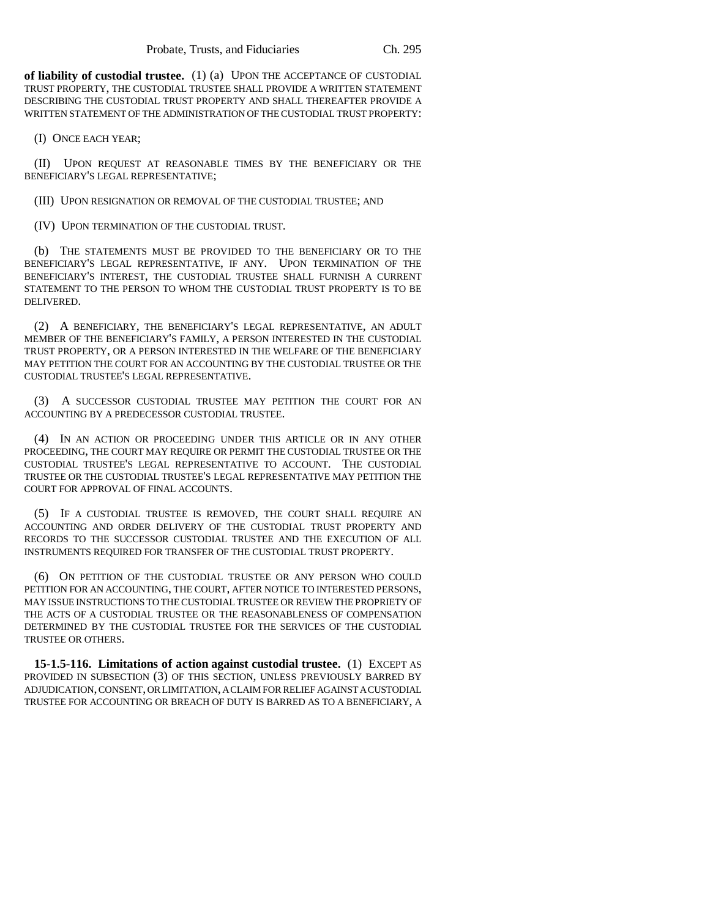**of liability of custodial trustee.** (1) (a) UPON THE ACCEPTANCE OF CUSTODIAL TRUST PROPERTY, THE CUSTODIAL TRUSTEE SHALL PROVIDE A WRITTEN STATEMENT DESCRIBING THE CUSTODIAL TRUST PROPERTY AND SHALL THEREAFTER PROVIDE A WRITTEN STATEMENT OF THE ADMINISTRATION OF THE CUSTODIAL TRUST PROPERTY:

(I) ONCE EACH YEAR;

(II) UPON REQUEST AT REASONABLE TIMES BY THE BENEFICIARY OR THE BENEFICIARY'S LEGAL REPRESENTATIVE;

(III) UPON RESIGNATION OR REMOVAL OF THE CUSTODIAL TRUSTEE; AND

(IV) UPON TERMINATION OF THE CUSTODIAL TRUST.

(b) THE STATEMENTS MUST BE PROVIDED TO THE BENEFICIARY OR TO THE BENEFICIARY'S LEGAL REPRESENTATIVE, IF ANY. UPON TERMINATION OF THE BENEFICIARY'S INTEREST, THE CUSTODIAL TRUSTEE SHALL FURNISH A CURRENT STATEMENT TO THE PERSON TO WHOM THE CUSTODIAL TRUST PROPERTY IS TO BE DELIVERED.

(2) A BENEFICIARY, THE BENEFICIARY'S LEGAL REPRESENTATIVE, AN ADULT MEMBER OF THE BENEFICIARY'S FAMILY, A PERSON INTERESTED IN THE CUSTODIAL TRUST PROPERTY, OR A PERSON INTERESTED IN THE WELFARE OF THE BENEFICIARY MAY PETITION THE COURT FOR AN ACCOUNTING BY THE CUSTODIAL TRUSTEE OR THE CUSTODIAL TRUSTEE'S LEGAL REPRESENTATIVE.

(3) A SUCCESSOR CUSTODIAL TRUSTEE MAY PETITION THE COURT FOR AN ACCOUNTING BY A PREDECESSOR CUSTODIAL TRUSTEE.

(4) IN AN ACTION OR PROCEEDING UNDER THIS ARTICLE OR IN ANY OTHER PROCEEDING, THE COURT MAY REQUIRE OR PERMIT THE CUSTODIAL TRUSTEE OR THE CUSTODIAL TRUSTEE'S LEGAL REPRESENTATIVE TO ACCOUNT. THE CUSTODIAL TRUSTEE OR THE CUSTODIAL TRUSTEE'S LEGAL REPRESENTATIVE MAY PETITION THE COURT FOR APPROVAL OF FINAL ACCOUNTS.

(5) IF A CUSTODIAL TRUSTEE IS REMOVED, THE COURT SHALL REQUIRE AN ACCOUNTING AND ORDER DELIVERY OF THE CUSTODIAL TRUST PROPERTY AND RECORDS TO THE SUCCESSOR CUSTODIAL TRUSTEE AND THE EXECUTION OF ALL INSTRUMENTS REQUIRED FOR TRANSFER OF THE CUSTODIAL TRUST PROPERTY.

(6) ON PETITION OF THE CUSTODIAL TRUSTEE OR ANY PERSON WHO COULD PETITION FOR AN ACCOUNTING, THE COURT, AFTER NOTICE TO INTERESTED PERSONS, MAY ISSUE INSTRUCTIONS TO THE CUSTODIAL TRUSTEE OR REVIEW THE PROPRIETY OF THE ACTS OF A CUSTODIAL TRUSTEE OR THE REASONABLENESS OF COMPENSATION DETERMINED BY THE CUSTODIAL TRUSTEE FOR THE SERVICES OF THE CUSTODIAL TRUSTEE OR OTHERS.

**15-1.5-116. Limitations of action against custodial trustee.** (1) EXCEPT AS PROVIDED IN SUBSECTION (3) OF THIS SECTION, UNLESS PREVIOUSLY BARRED BY ADJUDICATION, CONSENT, OR LIMITATION, A CLAIM FOR RELIEF AGAINST A CUSTODIAL TRUSTEE FOR ACCOUNTING OR BREACH OF DUTY IS BARRED AS TO A BENEFICIARY, A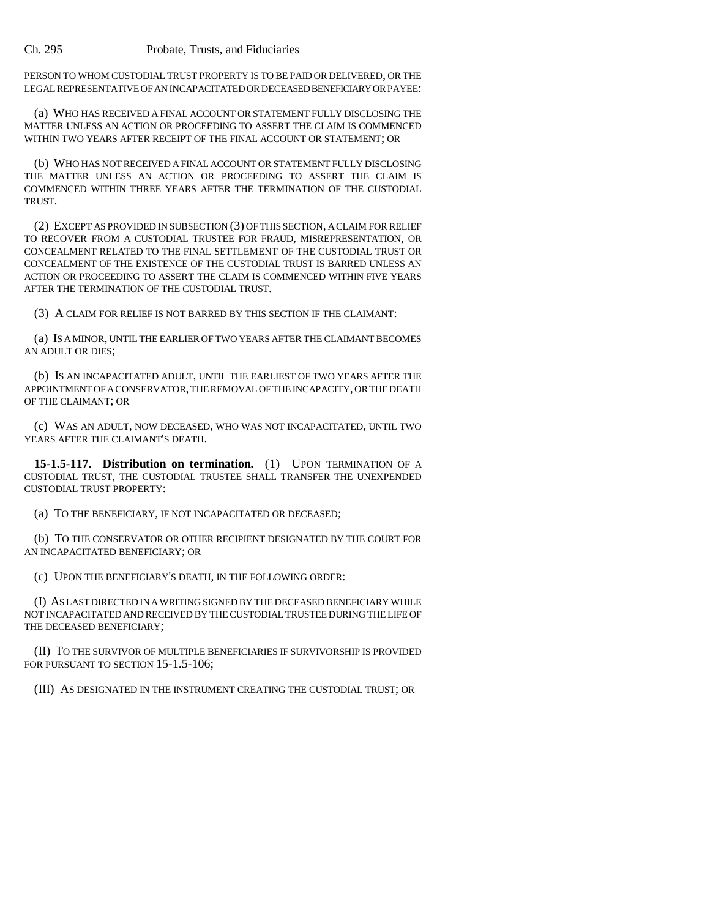PERSON TO WHOM CUSTODIAL TRUST PROPERTY IS TO BE PAID OR DELIVERED, OR THE LEGAL REPRESENTATIVE OF AN INCAPACITATED OR DECEASED BENEFICIARY OR PAYEE:

(a) WHO HAS RECEIVED A FINAL ACCOUNT OR STATEMENT FULLY DISCLOSING THE MATTER UNLESS AN ACTION OR PROCEEDING TO ASSERT THE CLAIM IS COMMENCED WITHIN TWO YEARS AFTER RECEIPT OF THE FINAL ACCOUNT OR STATEMENT; OR

(b) WHO HAS NOT RECEIVED A FINAL ACCOUNT OR STATEMENT FULLY DISCLOSING THE MATTER UNLESS AN ACTION OR PROCEEDING TO ASSERT THE CLAIM IS COMMENCED WITHIN THREE YEARS AFTER THE TERMINATION OF THE CUSTODIAL TRUST.

(2) EXCEPT AS PROVIDED IN SUBSECTION (3) OF THIS SECTION, A CLAIM FOR RELIEF TO RECOVER FROM A CUSTODIAL TRUSTEE FOR FRAUD, MISREPRESENTATION, OR CONCEALMENT RELATED TO THE FINAL SETTLEMENT OF THE CUSTODIAL TRUST OR CONCEALMENT OF THE EXISTENCE OF THE CUSTODIAL TRUST IS BARRED UNLESS AN ACTION OR PROCEEDING TO ASSERT THE CLAIM IS COMMENCED WITHIN FIVE YEARS AFTER THE TERMINATION OF THE CUSTODIAL TRUST.

(3) A CLAIM FOR RELIEF IS NOT BARRED BY THIS SECTION IF THE CLAIMANT:

(a) IS A MINOR, UNTIL THE EARLIER OF TWO YEARS AFTER THE CLAIMANT BECOMES AN ADULT OR DIES;

(b) IS AN INCAPACITATED ADULT, UNTIL THE EARLIEST OF TWO YEARS AFTER THE APPOINTMENT OF A CONSERVATOR, THE REMOVAL OF THE INCAPACITY, OR THE DEATH OF THE CLAIMANT; OR

(c) WAS AN ADULT, NOW DECEASED, WHO WAS NOT INCAPACITATED, UNTIL TWO YEARS AFTER THE CLAIMANT'S DEATH.

**15-1.5-117. Distribution on termination.** (1) UPON TERMINATION OF A CUSTODIAL TRUST, THE CUSTODIAL TRUSTEE SHALL TRANSFER THE UNEXPENDED CUSTODIAL TRUST PROPERTY:

(a) TO THE BENEFICIARY, IF NOT INCAPACITATED OR DECEASED;

(b) TO THE CONSERVATOR OR OTHER RECIPIENT DESIGNATED BY THE COURT FOR AN INCAPACITATED BENEFICIARY; OR

(c) UPON THE BENEFICIARY'S DEATH, IN THE FOLLOWING ORDER:

(I) AS LAST DIRECTED IN A WRITING SIGNED BY THE DECEASED BENEFICIARY WHILE NOT INCAPACITATED AND RECEIVED BY THE CUSTODIAL TRUSTEE DURING THE LIFE OF THE DECEASED BENEFICIARY;

(II) TO THE SURVIVOR OF MULTIPLE BENEFICIARIES IF SURVIVORSHIP IS PROVIDED FOR PURSUANT TO SECTION 15-1.5-106;

(III) AS DESIGNATED IN THE INSTRUMENT CREATING THE CUSTODIAL TRUST; OR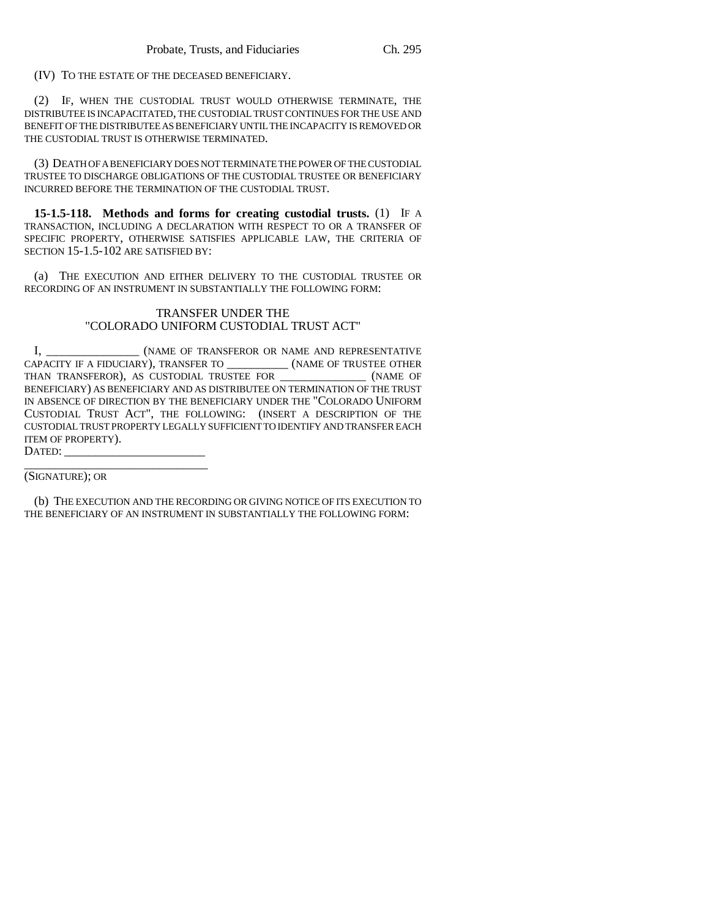(IV) TO THE ESTATE OF THE DECEASED BENEFICIARY.

(2) IF, WHEN THE CUSTODIAL TRUST WOULD OTHERWISE TERMINATE, THE DISTRIBUTEE IS INCAPACITATED, THE CUSTODIAL TRUST CONTINUES FOR THE USE AND BENEFIT OF THE DISTRIBUTEE AS BENEFICIARY UNTIL THE INCAPACITY IS REMOVED OR THE CUSTODIAL TRUST IS OTHERWISE TERMINATED.

(3) DEATH OF A BENEFICIARY DOES NOT TERMINATE THE POWER OF THE CUSTODIAL TRUSTEE TO DISCHARGE OBLIGATIONS OF THE CUSTODIAL TRUSTEE OR BENEFICIARY INCURRED BEFORE THE TERMINATION OF THE CUSTODIAL TRUST.

**15-1.5-118. Methods and forms for creating custodial trusts.** (1) IF A TRANSACTION, INCLUDING A DECLARATION WITH RESPECT TO OR A TRANSFER OF SPECIFIC PROPERTY, OTHERWISE SATISFIES APPLICABLE LAW, THE CRITERIA OF SECTION 15-1.5-102 ARE SATISFIED BY:

(a) THE EXECUTION AND EITHER DELIVERY TO THE CUSTODIAL TRUSTEE OR RECORDING OF AN INSTRUMENT IN SUBSTANTIALLY THE FOLLOWING FORM:

## TRANSFER UNDER THE "COLORADO UNIFORM CUSTODIAL TRUST ACT"

I, **ILLET IS CONTRANSFEROR OR NAME AND REPRESENTATIVE** CAPACITY IF A FIDUCIARY), TRANSFER TO \_\_\_\_\_\_\_\_\_\_ (NAME OF TRUSTEE OTHER THAN TRANSFEROR), AS CUSTODIAL TRUSTEE FOR  $(NAME \t{ OFAME})$ BENEFICIARY) AS BENEFICIARY AND AS DISTRIBUTEE ON TERMINATION OF THE TRUST IN ABSENCE OF DIRECTION BY THE BENEFICIARY UNDER THE "COLORADO UNIFORM CUSTODIAL TRUST ACT", THE FOLLOWING: (INSERT A DESCRIPTION OF THE CUSTODIAL TRUST PROPERTY LEGALLY SUFFICIENT TO IDENTIFY AND TRANSFER EACH ITEM OF PROPERTY). DATED:

\_\_\_\_\_\_\_\_\_\_\_\_\_\_\_\_\_\_\_\_\_\_\_\_\_\_\_\_\_\_ (SIGNATURE); OR

(b) THE EXECUTION AND THE RECORDING OR GIVING NOTICE OF ITS EXECUTION TO THE BENEFICIARY OF AN INSTRUMENT IN SUBSTANTIALLY THE FOLLOWING FORM: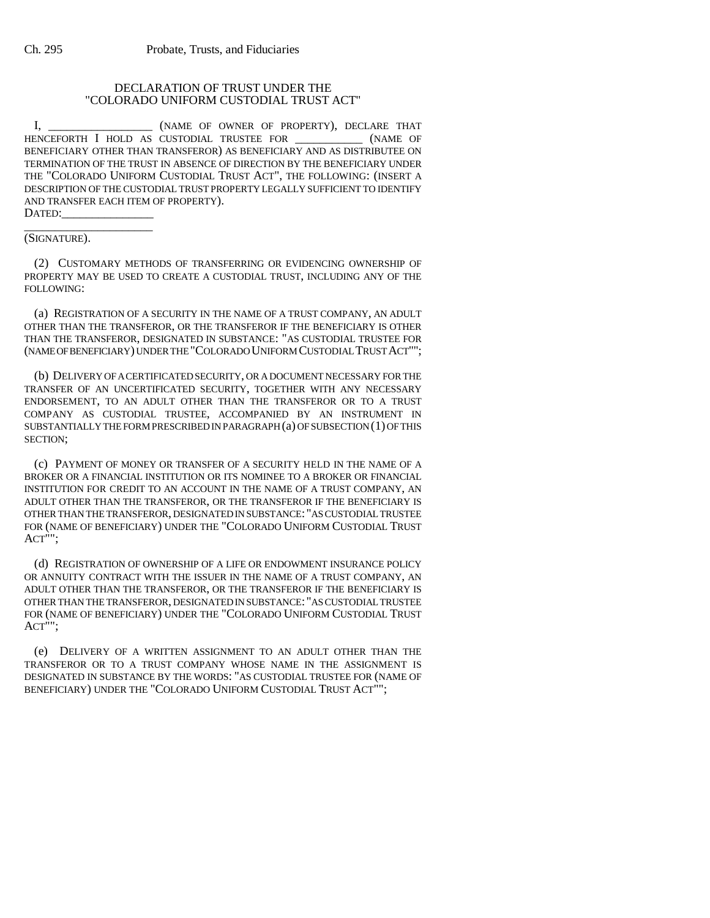## DECLARATION OF TRUST UNDER THE "COLORADO UNIFORM CUSTODIAL TRUST ACT"

I,  $(NAME$  of owner of property), DECLARE THAT HENCEFORTH I HOLD AS CUSTODIAL TRUSTEE FOR \_\_\_\_\_\_\_\_\_\_\_ (NAME OF BENEFICIARY OTHER THAN TRANSFEROR) AS BENEFICIARY AND AS DISTRIBUTEE ON TERMINATION OF THE TRUST IN ABSENCE OF DIRECTION BY THE BENEFICIARY UNDER THE "COLORADO UNIFORM CUSTODIAL TRUST ACT", THE FOLLOWING: (INSERT A DESCRIPTION OF THE CUSTODIAL TRUST PROPERTY LEGALLY SUFFICIENT TO IDENTIFY AND TRANSFER EACH ITEM OF PROPERTY). DATED:

\_\_\_\_\_\_\_\_\_\_\_\_\_\_\_\_\_\_\_\_\_ (SIGNATURE).

(2) CUSTOMARY METHODS OF TRANSFERRING OR EVIDENCING OWNERSHIP OF PROPERTY MAY BE USED TO CREATE A CUSTODIAL TRUST, INCLUDING ANY OF THE FOLLOWING:

(a) REGISTRATION OF A SECURITY IN THE NAME OF A TRUST COMPANY, AN ADULT OTHER THAN THE TRANSFEROR, OR THE TRANSFEROR IF THE BENEFICIARY IS OTHER THAN THE TRANSFEROR, DESIGNATED IN SUBSTANCE: "AS CUSTODIAL TRUSTEE FOR (NAME OF BENEFICIARY) UNDER THE "COLORADO UNIFORM CUSTODIAL TRUST ACT"";

(b) DELIVERY OF A CERTIFICATED SECURITY, OR A DOCUMENT NECESSARY FOR THE TRANSFER OF AN UNCERTIFICATED SECURITY, TOGETHER WITH ANY NECESSARY ENDORSEMENT, TO AN ADULT OTHER THAN THE TRANSFEROR OR TO A TRUST COMPANY AS CUSTODIAL TRUSTEE, ACCOMPANIED BY AN INSTRUMENT IN SUBSTANTIALLY THE FORM PRESCRIBED IN PARAGRAPH (a) OF SUBSECTION (1) OF THIS SECTION;

(c) PAYMENT OF MONEY OR TRANSFER OF A SECURITY HELD IN THE NAME OF A BROKER OR A FINANCIAL INSTITUTION OR ITS NOMINEE TO A BROKER OR FINANCIAL INSTITUTION FOR CREDIT TO AN ACCOUNT IN THE NAME OF A TRUST COMPANY, AN ADULT OTHER THAN THE TRANSFEROR, OR THE TRANSFEROR IF THE BENEFICIARY IS OTHER THAN THE TRANSFEROR, DESIGNATED IN SUBSTANCE: "AS CUSTODIAL TRUSTEE FOR (NAME OF BENEFICIARY) UNDER THE "COLORADO UNIFORM CUSTODIAL TRUST ACT"";

(d) REGISTRATION OF OWNERSHIP OF A LIFE OR ENDOWMENT INSURANCE POLICY OR ANNUITY CONTRACT WITH THE ISSUER IN THE NAME OF A TRUST COMPANY, AN ADULT OTHER THAN THE TRANSFEROR, OR THE TRANSFEROR IF THE BENEFICIARY IS OTHER THAN THE TRANSFEROR, DESIGNATED IN SUBSTANCE: "AS CUSTODIAL TRUSTEE FOR (NAME OF BENEFICIARY) UNDER THE "COLORADO UNIFORM CUSTODIAL TRUST ACT"";

(e) DELIVERY OF A WRITTEN ASSIGNMENT TO AN ADULT OTHER THAN THE TRANSFEROR OR TO A TRUST COMPANY WHOSE NAME IN THE ASSIGNMENT IS DESIGNATED IN SUBSTANCE BY THE WORDS: "AS CUSTODIAL TRUSTEE FOR (NAME OF BENEFICIARY) UNDER THE "COLORADO UNIFORM CUSTODIAL TRUST ACT"";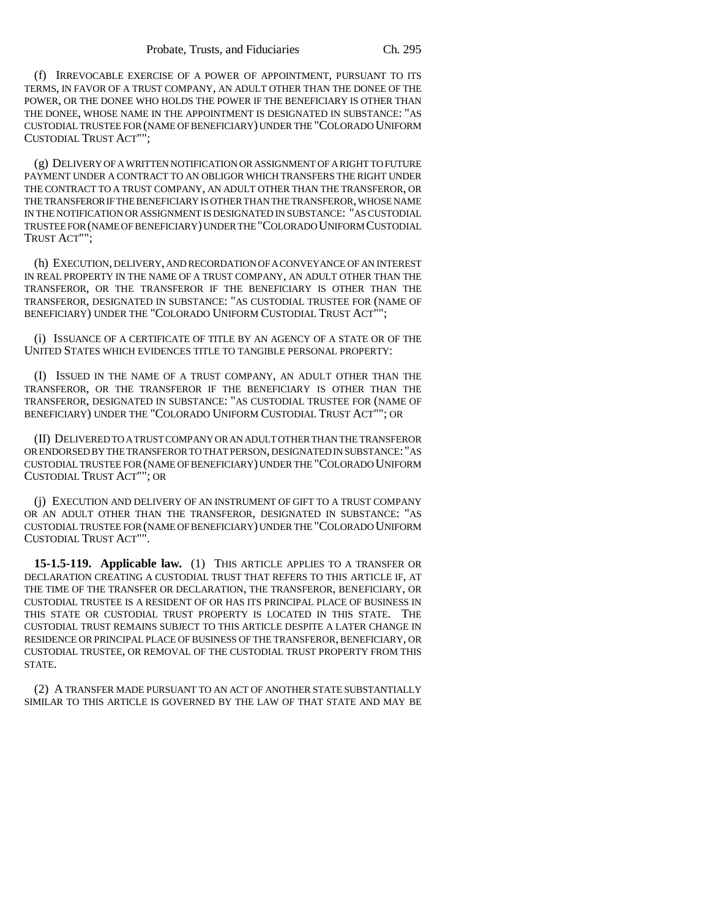(f) IRREVOCABLE EXERCISE OF A POWER OF APPOINTMENT, PURSUANT TO ITS TERMS, IN FAVOR OF A TRUST COMPANY, AN ADULT OTHER THAN THE DONEE OF THE POWER, OR THE DONEE WHO HOLDS THE POWER IF THE BENEFICIARY IS OTHER THAN THE DONEE, WHOSE NAME IN THE APPOINTMENT IS DESIGNATED IN SUBSTANCE: "AS CUSTODIAL TRUSTEE FOR (NAME OF BENEFICIARY) UNDER THE "COLORADO UNIFORM CUSTODIAL TRUST ACT"";

(g) DELIVERY OF A WRITTEN NOTIFICATION OR ASSIGNMENT OF A RIGHT TO FUTURE PAYMENT UNDER A CONTRACT TO AN OBLIGOR WHICH TRANSFERS THE RIGHT UNDER THE CONTRACT TO A TRUST COMPANY, AN ADULT OTHER THAN THE TRANSFEROR, OR THE TRANSFEROR IF THE BENEFICIARY IS OTHER THAN THE TRANSFEROR, WHOSE NAME IN THE NOTIFICATION OR ASSIGNMENT IS DESIGNATED IN SUBSTANCE: "AS CUSTODIAL TRUSTEE FOR (NAME OF BENEFICIARY) UNDER THE "COLORADO UNIFORM CUSTODIAL TRUST ACT"";

(h) EXECUTION, DELIVERY, AND RECORDATION OF A CONVEYANCE OF AN INTEREST IN REAL PROPERTY IN THE NAME OF A TRUST COMPANY, AN ADULT OTHER THAN THE TRANSFEROR, OR THE TRANSFEROR IF THE BENEFICIARY IS OTHER THAN THE TRANSFEROR, DESIGNATED IN SUBSTANCE: "AS CUSTODIAL TRUSTEE FOR (NAME OF BENEFICIARY) UNDER THE "COLORADO UNIFORM CUSTODIAL TRUST ACT"";

(i) ISSUANCE OF A CERTIFICATE OF TITLE BY AN AGENCY OF A STATE OR OF THE UNITED STATES WHICH EVIDENCES TITLE TO TANGIBLE PERSONAL PROPERTY:

(I) ISSUED IN THE NAME OF A TRUST COMPANY, AN ADULT OTHER THAN THE TRANSFEROR, OR THE TRANSFEROR IF THE BENEFICIARY IS OTHER THAN THE TRANSFEROR, DESIGNATED IN SUBSTANCE: "AS CUSTODIAL TRUSTEE FOR (NAME OF BENEFICIARY) UNDER THE "COLORADO UNIFORM CUSTODIAL TRUST ACT""; OR

(II) DELIVERED TO A TRUST COMPANY OR AN ADULT OTHER THAN THE TRANSFEROR OR ENDORSED BY THE TRANSFEROR TO THAT PERSON, DESIGNATED IN SUBSTANCE: "AS CUSTODIAL TRUSTEE FOR (NAME OF BENEFICIARY) UNDER THE "COLORADO UNIFORM CUSTODIAL TRUST ACT""; OR

(j) EXECUTION AND DELIVERY OF AN INSTRUMENT OF GIFT TO A TRUST COMPANY OR AN ADULT OTHER THAN THE TRANSFEROR, DESIGNATED IN SUBSTANCE: "AS CUSTODIAL TRUSTEE FOR (NAME OF BENEFICIARY) UNDER THE "COLORADO UNIFORM CUSTODIAL TRUST ACT"".

**15-1.5-119. Applicable law.** (1) THIS ARTICLE APPLIES TO A TRANSFER OR DECLARATION CREATING A CUSTODIAL TRUST THAT REFERS TO THIS ARTICLE IF, AT THE TIME OF THE TRANSFER OR DECLARATION, THE TRANSFEROR, BENEFICIARY, OR CUSTODIAL TRUSTEE IS A RESIDENT OF OR HAS ITS PRINCIPAL PLACE OF BUSINESS IN THIS STATE OR CUSTODIAL TRUST PROPERTY IS LOCATED IN THIS STATE. THE CUSTODIAL TRUST REMAINS SUBJECT TO THIS ARTICLE DESPITE A LATER CHANGE IN RESIDENCE OR PRINCIPAL PLACE OF BUSINESS OF THE TRANSFEROR, BENEFICIARY, OR CUSTODIAL TRUSTEE, OR REMOVAL OF THE CUSTODIAL TRUST PROPERTY FROM THIS STATE.

(2) A TRANSFER MADE PURSUANT TO AN ACT OF ANOTHER STATE SUBSTANTIALLY SIMILAR TO THIS ARTICLE IS GOVERNED BY THE LAW OF THAT STATE AND MAY BE